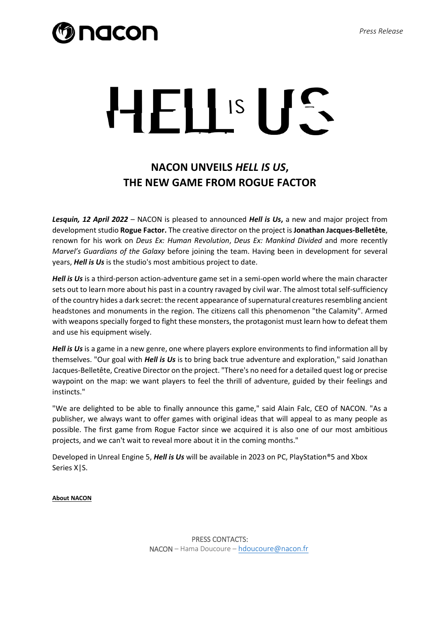

## $H$   $\Box$   $\Box$

## **NACON UNVEILS** *HELL IS US***, THE NEW GAME FROM ROGUE FACTOR**

*Lesquin, 12 April 2022* – NACON is pleased to announced *Hell is Us***,** a new and major project from development studio **Rogue Factor.** The creative director on the project is **Jonathan Jacques-Belletête**, renown for his work on *Deus Ex: Human Revolution*, *Deus Ex: Mankind Divided* and more recently *Marvel's Guardians of the Galaxy* before joining the team. Having been in development for several years, *Hell is Us* is the studio's most ambitious project to date.

*Hell is Us* is a third-person action-adventure game set in a semi-open world where the main character sets out to learn more about his past in a country ravaged by civil war. The almost total self-sufficiency of the country hides a dark secret: the recent appearance of supernatural creatures resembling ancient headstones and monuments in the region. The citizens call this phenomenon "the Calamity". Armed with weapons specially forged to fight these monsters, the protagonist must learn how to defeat them and use his equipment wisely.

*Hell is Us* is a game in a new genre, one where players explore environments to find information all by themselves. "Our goal with *Hell is Us* is to bring back true adventure and exploration," said Jonathan Jacques-Belletête, Creative Director on the project. "There's no need for a detailed quest log or precise waypoint on the map: we want players to feel the thrill of adventure, guided by their feelings and instincts."

"We are delighted to be able to finally announce this game," said Alain Falc, CEO of NACON. "As a publisher, we always want to offer games with original ideas that will appeal to as many people as possible. The first game from Rogue Factor since we acquired it is also one of our most ambitious projects, and we can't wait to reveal more about it in the coming months."

Developed in Unreal Engine 5, *Hell is Us* will be available in 2023 on PC, PlayStation®5 and Xbox Series X|S.

**About NACON**